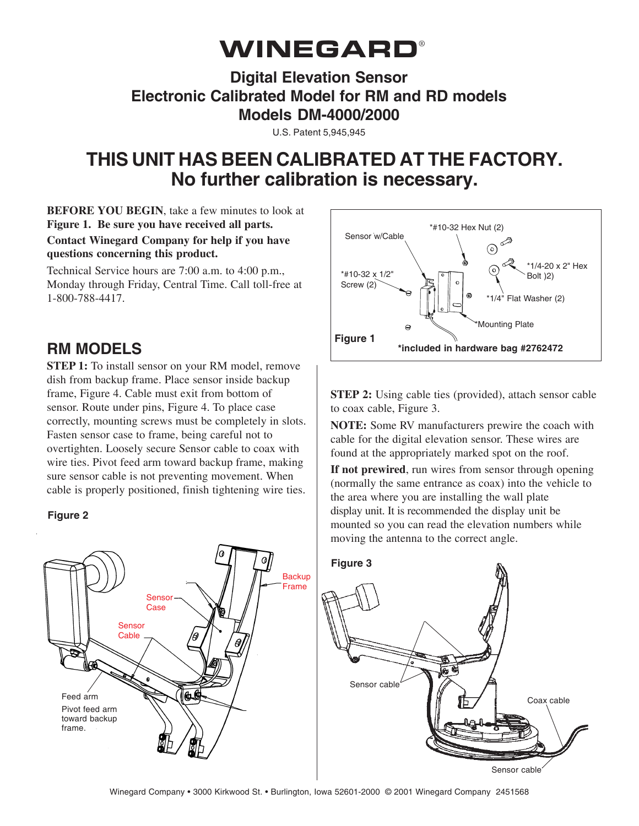# **WINEGARD®**

### **Digital Elevation Sensor Electronic Calibrated Model for RM and RD models Models DM-4000/2000**

U.S. Patent 5,945,945

## **THIS UNIT HAS BEEN CALIBRATED AT THE FACTORY. No further calibration is necessary.**

**BEFORE YOU BEGIN**, take a few minutes to look at **Figure 1. Be sure you have received all parts. Contact Winegard Company for help if you have questions concerning this product.**

Technical Service hours are 7:00 a.m. to 4:00 p.m., Monday through Friday, Central Time. Call toll-free at 1-800-788-4417.

### **RM MODELS**

**STEP 1:** To install sensor on your RM model, remove dish from backup frame. Place sensor inside backup frame, Figure 4. Cable must exit from bottom of sensor. Route under pins, Figure 4. To place case correctly, mounting screws must be completely in slots. Fasten sensor case to frame, being careful not to overtighten. Loosely secure Sensor cable to coax with wire ties. Pivot feed arm toward backup frame, making sure sensor cable is not preventing movement. When cable is properly positioned, finish tightening wire ties.

#### **Figure 2**





**STEP 2:** Using cable ties (provided), attach sensor cable to coax cable, Figure 3.

**NOTE:** Some RV manufacturers prewire the coach with cable for the digital elevation sensor. These wires are found at the appropriately marked spot on the roof.

**If not prewired**, run wires from sensor through opening (normally the same entrance as coax) into the vehicle to the area where you are installing the wall plate display unit. It is recommended the display unit be mounted so you can read the elevation numbers while moving the antenna to the correct angle.

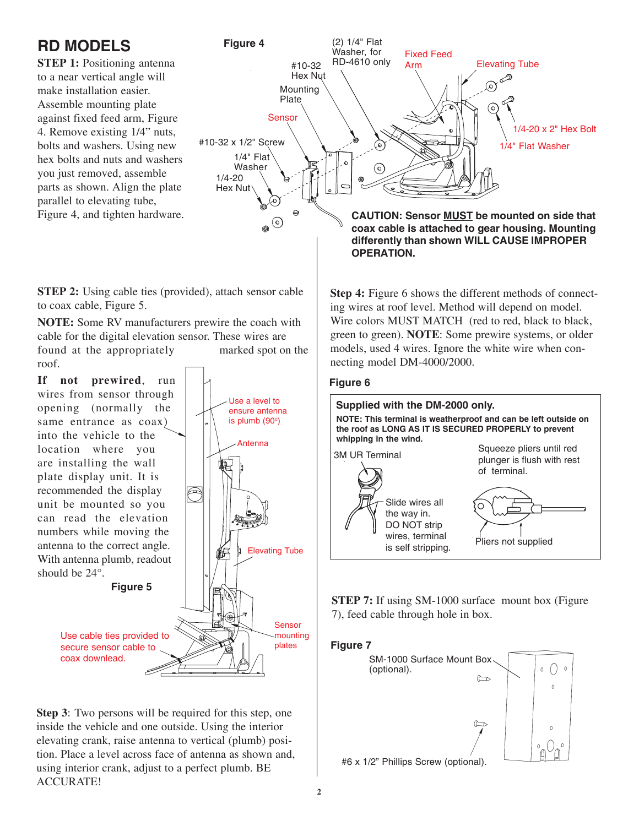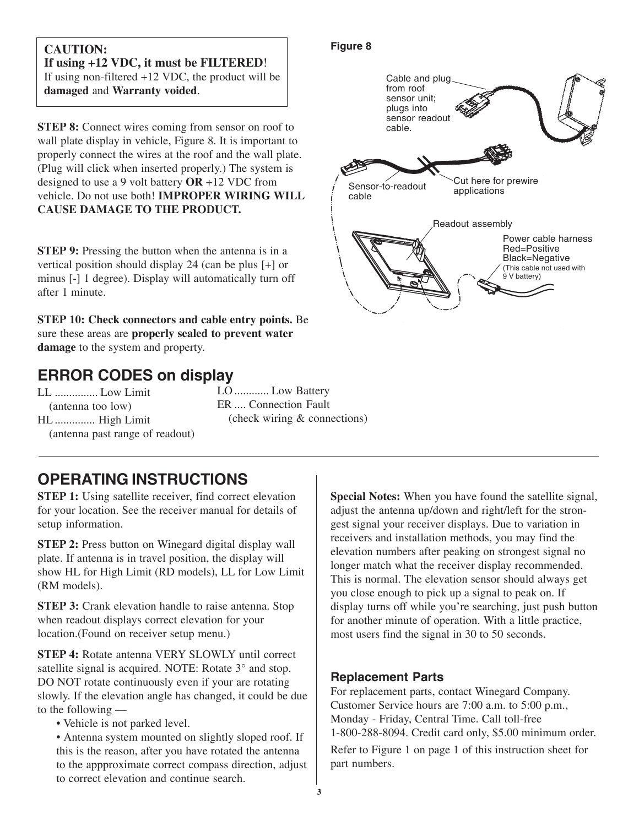#### **CAUTION: If using +12 VDC, it must be FILTERED**! If using non-filtered +12 VDC, the product will be **damaged** and **Warranty voided**.

**STEP 8:** Connect wires coming from sensor on roof to wall plate display in vehicle, Figure 8. It is important to properly connect the wires at the roof and the wall plate. (Plug will click when inserted properly.) The system is designed to use a 9 volt battery **OR** +12 VDC from vehicle. Do not use both! **IMPROPER WIRING WILL CAUSE DAMAGE TO THE PRODUCT.**

**STEP 9:** Pressing the button when the antenna is in a vertical position should display 24 (can be plus [+] or minus [-] 1 degree). Display will automatically turn off after 1 minute.

**STEP 10: Check connectors and cable entry points.** Be sure these areas are **properly sealed to prevent water damage** to the system and property.

### **ERROR CODES on display**

LL ............... Low Limit (antenna too low) HL .............. High Limit (antenna past range of readout) LO ............ Low Battery ER .... Connection Fault (check wiring & connections)

### **OPERATING INSTRUCTIONS**

**STEP 1:** Using satellite receiver, find correct elevation for your location. See the receiver manual for details of setup information.

**STEP 2:** Press button on Winegard digital display wall plate. If antenna is in travel position, the display will show HL for High Limit (RD models), LL for Low Limit (RM models).

**STEP 3:** Crank elevation handle to raise antenna. Stop when readout displays correct elevation for your location.(Found on receiver setup menu.)

**STEP 4:** Rotate antenna VERY SLOWLY until correct satellite signal is acquired. NOTE: Rotate  $3^{\circ}$  and stop. DO NOT rotate continuously even if your are rotating slowly. If the elevation angle has changed, it could be due to the following —

• Vehicle is not parked level.

• Antenna system mounted on slightly sloped roof. If this is the reason, after you have rotated the antenna to the appproximate correct compass direction, adjust to correct elevation and continue search.

#### **Special Notes:** When you have found the satellite signal, adjust the antenna up/down and right/left for the strongest signal your receiver displays. Due to variation in receivers and installation methods, you may find the elevation numbers after peaking on strongest signal no longer match what the receiver display recommended. This is normal. The elevation sensor should always get you close enough to pick up a signal to peak on. If display turns off while you're searching, just push button for another minute of operation. With a little practice, most users find the signal in 30 to 50 seconds.

#### **Replacement Parts**

For replacement parts, contact Winegard Company. Customer Service hours are 7:00 a.m. to 5:00 p.m., Monday - Friday, Central Time. Call toll-free 1-800-288-8094. Credit card only, \$5.00 minimum order. Refer to Figure 1 on page 1 of this instruction sheet for part numbers.

### **Figure 8**